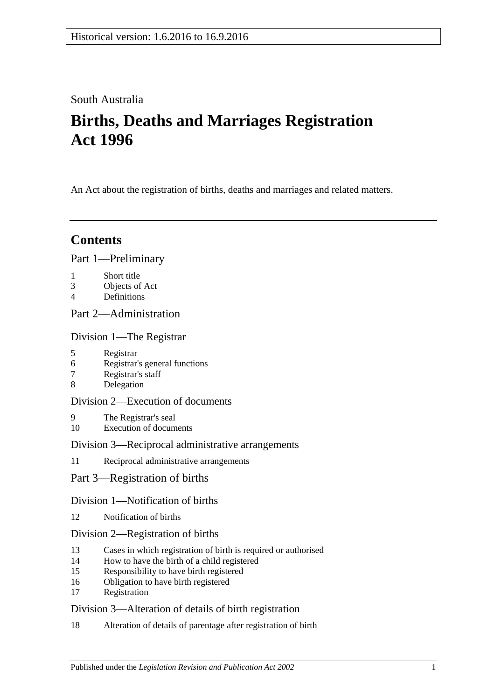## South Australia

# **Births, Deaths and Marriages Registration Act 1996**

An Act about the registration of births, deaths and marriages and related matters.

## **Contents**

[Part 1—Preliminary](#page-2-0)

- 1 [Short title](#page-2-1)
- 3 [Objects of Act](#page-3-0)
- 4 [Definitions](#page-3-1)

## [Part 2—Administration](#page-4-0)

[Division 1—The Registrar](#page-4-1)

- 5 [Registrar](#page-4-2)
- 6 [Registrar's general functions](#page-5-0)
- 7 [Registrar's staff](#page-5-1)
- 8 [Delegation](#page-5-2)

### [Division 2—Execution of documents](#page-5-3)

- 9 [The Registrar's seal](#page-5-4)
- 10 [Execution of documents](#page-5-5)

#### [Division 3—Reciprocal administrative arrangements](#page-6-0)

- 11 [Reciprocal administrative arrangements](#page-6-1)
- [Part 3—Registration of births](#page-6-2)

#### [Division 1—Notification of births](#page-6-3)

12 [Notification of births](#page-6-4)

#### [Division 2—Registration of births](#page-7-0)

- 13 [Cases in which registration of birth is required or authorised](#page-7-1)
- 14 [How to have the birth of a child registered](#page-7-2)
- 15 [Responsibility to have birth registered](#page-8-0)
- 16 [Obligation to have birth registered](#page-8-1)
- 17 [Registration](#page-8-2)

#### [Division 3—Alteration of details of birth registration](#page-8-3)

18 [Alteration of details of parentage after registration of birth](#page-8-4)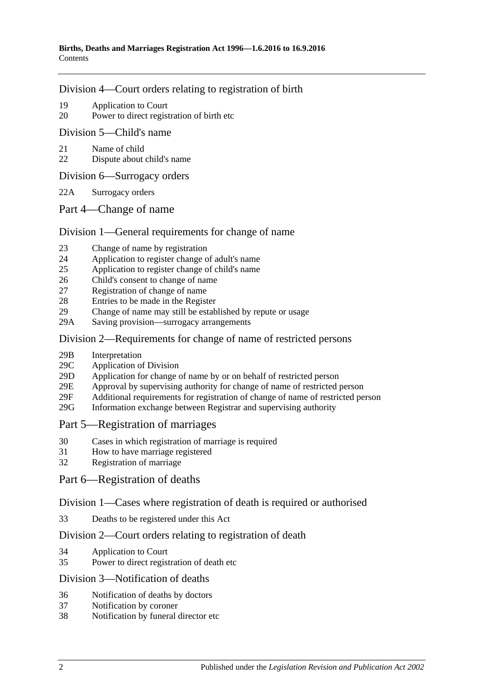#### [Division 4—Court orders relating to registration of birth](#page-9-0)

- 19 [Application to Court](#page-9-1)
- 20 [Power to direct registration of birth etc](#page-9-2)

#### [Division 5—Child's name](#page-9-3)

- 21 [Name of child](#page-9-4)
- 22 [Dispute about child's name](#page-10-0)
- [Division 6—Surrogacy orders](#page-10-1)
- 22A [Surrogacy orders](#page-10-2)
- [Part 4—Change of name](#page-11-0)

#### [Division 1—General requirements for change of name](#page-11-1)

- 23 [Change of name by registration](#page-11-2)
- 24 [Application to register change of adult's name](#page-11-3)
- 25 [Application to register change of child's name](#page-11-4)
- 26 [Child's consent to change of name](#page-12-0)
- 27 [Registration of change of name](#page-12-1)
- 28 [Entries to be made in the Register](#page-12-2)
- 29 [Change of name may still be established by repute or usage](#page-13-0)
- 29A Saving [provision—surrogacy arrangements](#page-13-1)

#### [Division 2—Requirements for change of name of restricted persons](#page-13-2)

- 29B [Interpretation](#page-13-3)
- 29C [Application of Division](#page-14-0)
- 29D [Application for change of name by or on behalf of restricted person](#page-14-1)
- 29E [Approval by supervising authority for change of name of restricted person](#page-14-2)
- 29F [Additional requirements for registration of change of name of restricted](#page-15-0) person
- 29G [Information exchange between Registrar and supervising authority](#page-16-0)

#### [Part 5—Registration of marriages](#page-16-1)

- 30 [Cases in which registration of marriage is required](#page-16-2)
- 31 [How to have marriage registered](#page-16-3)
- 32 [Registration of marriage](#page-16-4)

#### [Part 6—Registration of deaths](#page-16-5)

#### [Division 1—Cases where registration of death is required or authorised](#page-16-6)

33 [Deaths to be registered under this Act](#page-16-7)

#### [Division 2—Court orders relating to registration of death](#page-17-0)

- 34 [Application to Court](#page-17-1)
- 35 [Power to direct registration of death etc](#page-17-2)

#### [Division 3—Notification of deaths](#page-17-3)

- 36 [Notification of deaths by doctors](#page-17-4)<br>37 Notification by coroner
- [Notification by coroner](#page-18-0)
- 38 [Notification by funeral director etc](#page-18-1)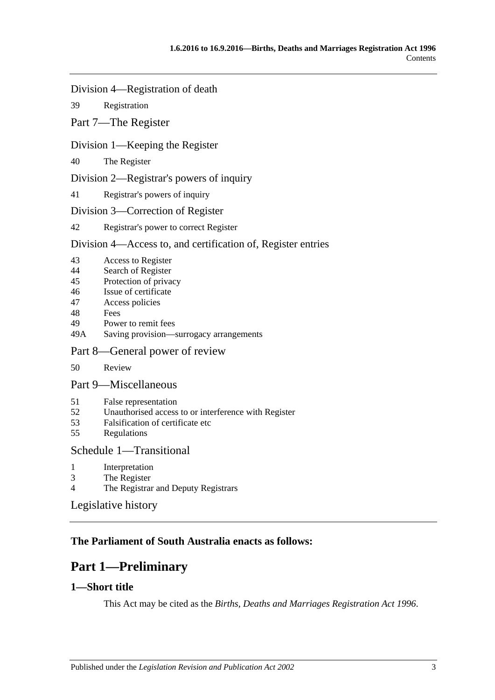#### [Division 4—Registration of death](#page-19-0)

39 [Registration](#page-19-1)

#### [Part 7—The Register](#page-19-2)

#### [Division 1—Keeping the Register](#page-19-3)

40 [The Register](#page-19-4)

[Division 2—Registrar's powers of inquiry](#page-19-5)

41 [Registrar's powers of inquiry](#page-19-6)

#### [Division 3—Correction of Register](#page-20-0)

#### 42 [Registrar's power to correct Register](#page-20-1)

#### [Division 4—Access to, and certification of, Register entries](#page-20-2)

- 43 [Access to Register](#page-20-3)
- 44 [Search of Register](#page-20-4)
- 45 [Protection of privacy](#page-21-0)
- 46 [Issue of certificate](#page-21-1)
- 47 [Access policies](#page-21-2)
- 48 [Fees](#page-21-3)<br>49 Powe
- [Power to remit fees](#page-21-4)
- 49A [Saving provision—surrogacy arrangements](#page-22-0)

### [Part 8—General power of review](#page-22-1)

50 [Review](#page-22-2)

#### [Part 9—Miscellaneous](#page-22-3)

- 51 [False representation](#page-22-4)
- 52 [Unauthorised access to or interference with Register](#page-22-5)
- 53 [Falsification of certificate etc](#page-22-6)
- 55 [Regulations](#page-23-0)

#### [Schedule 1—Transitional](#page-23-1)

- 
- 1 [Interpretation](#page-23-2)<br>3 The Register [The Register](#page-23-3)
- 4 [The Registrar and Deputy Registrars](#page-23-4)

## [Legislative history](#page-24-0)

## <span id="page-2-0"></span>**The Parliament of South Australia enacts as follows:**

# **Part 1—Preliminary**

## <span id="page-2-1"></span>**1—Short title**

This Act may be cited as the *Births, Deaths and Marriages Registration Act 1996*.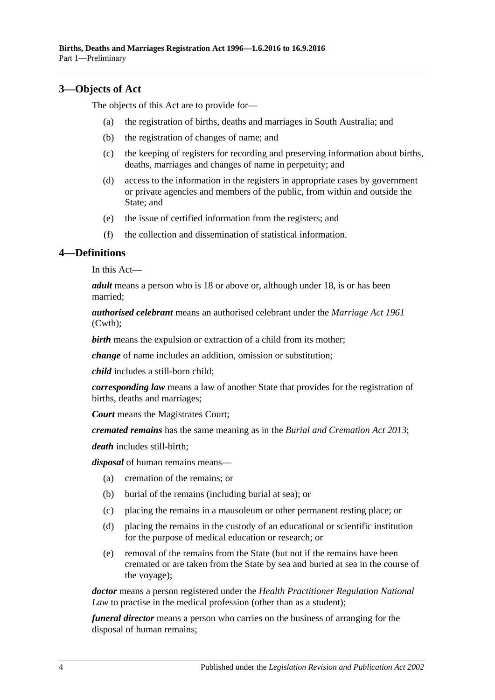### <span id="page-3-0"></span>**3—Objects of Act**

The objects of this Act are to provide for—

- (a) the registration of births, deaths and marriages in South Australia; and
- (b) the registration of changes of name; and
- (c) the keeping of registers for recording and preserving information about births, deaths, marriages and changes of name in perpetuity; and
- (d) access to the information in the registers in appropriate cases by government or private agencies and members of the public, from within and outside the State; and
- (e) the issue of certified information from the registers; and
- (f) the collection and dissemination of statistical information.

#### <span id="page-3-1"></span>**4—Definitions**

In this Act—

*adult* means a person who is 18 or above or, although under 18, is or has been married;

*authorised celebrant* means an authorised celebrant under the *Marriage Act 1961* (Cwth);

**birth** means the expulsion or extraction of a child from its mother;

*change* of name includes an addition, omission or substitution;

*child* includes a still-born child;

*corresponding law* means a law of another State that provides for the registration of births, deaths and marriages;

*Court* means the Magistrates Court;

*cremated remains* has the same meaning as in the *[Burial and Cremation Act](http://www.legislation.sa.gov.au/index.aspx?action=legref&type=act&legtitle=Burial%20and%20Cremation%20Act%202013) 2013*;

*death* includes still-birth;

*disposal* of human remains means—

- (a) cremation of the remains; or
- (b) burial of the remains (including burial at sea); or
- (c) placing the remains in a mausoleum or other permanent resting place; or
- (d) placing the remains in the custody of an educational or scientific institution for the purpose of medical education or research; or
- (e) removal of the remains from the State (but not if the remains have been cremated or are taken from the State by sea and buried at sea in the course of the voyage);

*doctor* means a person registered under the *Health Practitioner Regulation National Law* to practise in the medical profession (other than as a student);

*funeral director* means a person who carries on the business of arranging for the disposal of human remains;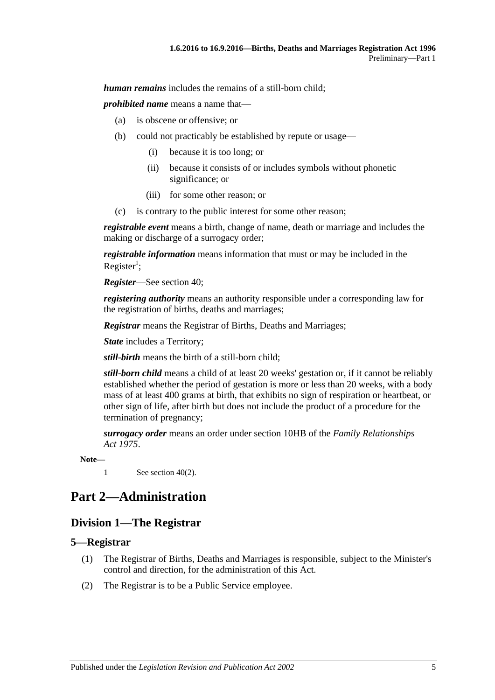*human remains* includes the remains of a still-born child;

*prohibited name* means a name that—

- (a) is obscene or offensive; or
- (b) could not practicably be established by repute or usage—
	- (i) because it is too long; or
	- (ii) because it consists of or includes symbols without phonetic significance; or
	- (iii) for some other reason; or
- (c) is contrary to the public interest for some other reason;

*registrable event* means a birth, change of name, death or marriage and includes the making or discharge of a surrogacy order;

*registrable information* means information that must or may be included in the Register<sup>1</sup>;

*Register*—See [section](#page-19-4) 40;

*registering authority* means an authority responsible under a corresponding law for the registration of births, deaths and marriages;

*Registrar* means the Registrar of Births, Deaths and Marriages;

*State* includes a Territory;

*still-birth* means the birth of a still-born child;

*still-born child* means a child of at least 20 weeks' gestation or, if it cannot be reliably established whether the period of gestation is more or less than 20 weeks, with a body mass of at least 400 grams at birth, that exhibits no sign of respiration or heartbeat, or other sign of life, after birth but does not include the product of a procedure for the termination of pregnancy;

*surrogacy order* means an order under section 10HB of the *[Family Relationships](http://www.legislation.sa.gov.au/index.aspx?action=legref&type=act&legtitle=Family%20Relationships%20Act%201975)  Act [1975](http://www.legislation.sa.gov.au/index.aspx?action=legref&type=act&legtitle=Family%20Relationships%20Act%201975)*.

**Note—**

1 See [section](#page-19-7) 40(2).

## <span id="page-4-1"></span><span id="page-4-0"></span>**Part 2—Administration**

### **Division 1—The Registrar**

#### <span id="page-4-2"></span>**5—Registrar**

- (1) The Registrar of Births, Deaths and Marriages is responsible, subject to the Minister's control and direction, for the administration of this Act.
- (2) The Registrar is to be a Public Service employee.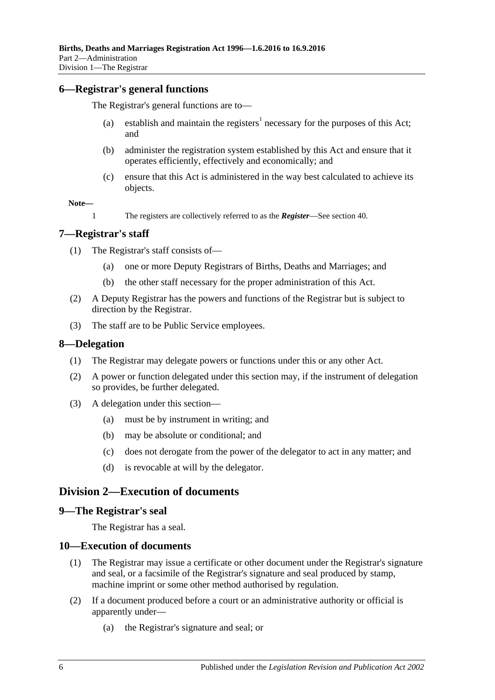#### <span id="page-5-0"></span>**6—Registrar's general functions**

The Registrar's general functions are to—

- (a) establish and maintain the registers<sup>1</sup> necessary for the purposes of this Act; and
- (b) administer the registration system established by this Act and ensure that it operates efficiently, effectively and economically; and
- (c) ensure that this Act is administered in the way best calculated to achieve its objects.

**Note—**

1 The registers are collectively referred to as the *Register*—See [section](#page-19-4) 40.

#### <span id="page-5-1"></span>**7—Registrar's staff**

(1) The Registrar's staff consists of—

- (a) one or more Deputy Registrars of Births, Deaths and Marriages; and
- (b) the other staff necessary for the proper administration of this Act.
- (2) A Deputy Registrar has the powers and functions of the Registrar but is subject to direction by the Registrar.
- (3) The staff are to be Public Service employees.

#### <span id="page-5-2"></span>**8—Delegation**

- (1) The Registrar may delegate powers or functions under this or any other Act.
- (2) A power or function delegated under this section may, if the instrument of delegation so provides, be further delegated.
- (3) A delegation under this section—
	- (a) must be by instrument in writing; and
	- (b) may be absolute or conditional; and
	- (c) does not derogate from the power of the delegator to act in any matter; and
	- (d) is revocable at will by the delegator.

#### <span id="page-5-3"></span>**Division 2—Execution of documents**

#### <span id="page-5-4"></span>**9—The Registrar's seal**

The Registrar has a seal.

#### <span id="page-5-5"></span>**10—Execution of documents**

- (1) The Registrar may issue a certificate or other document under the Registrar's signature and seal, or a facsimile of the Registrar's signature and seal produced by stamp, machine imprint or some other method authorised by regulation.
- (2) If a document produced before a court or an administrative authority or official is apparently under—
	- (a) the Registrar's signature and seal; or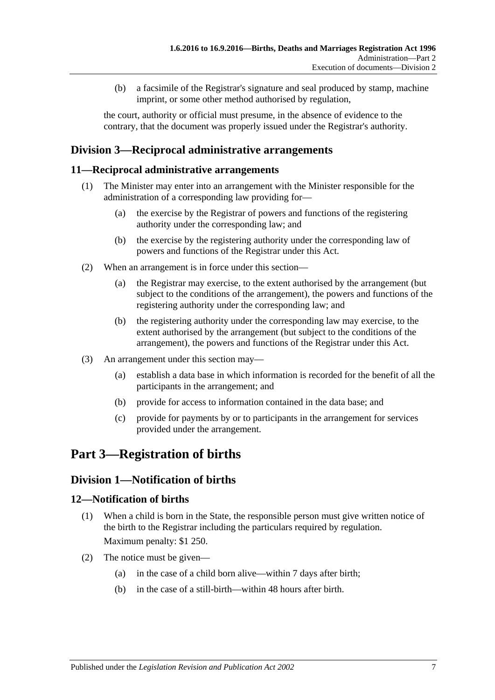(b) a facsimile of the Registrar's signature and seal produced by stamp, machine imprint, or some other method authorised by regulation,

the court, authority or official must presume, in the absence of evidence to the contrary, that the document was properly issued under the Registrar's authority.

## <span id="page-6-0"></span>**Division 3—Reciprocal administrative arrangements**

#### <span id="page-6-1"></span>**11—Reciprocal administrative arrangements**

- (1) The Minister may enter into an arrangement with the Minister responsible for the administration of a corresponding law providing for—
	- (a) the exercise by the Registrar of powers and functions of the registering authority under the corresponding law; and
	- (b) the exercise by the registering authority under the corresponding law of powers and functions of the Registrar under this Act.
- (2) When an arrangement is in force under this section—
	- (a) the Registrar may exercise, to the extent authorised by the arrangement (but subject to the conditions of the arrangement), the powers and functions of the registering authority under the corresponding law; and
	- (b) the registering authority under the corresponding law may exercise, to the extent authorised by the arrangement (but subject to the conditions of the arrangement), the powers and functions of the Registrar under this Act.
- (3) An arrangement under this section may—
	- (a) establish a data base in which information is recorded for the benefit of all the participants in the arrangement; and
	- (b) provide for access to information contained in the data base; and
	- (c) provide for payments by or to participants in the arrangement for services provided under the arrangement.

# <span id="page-6-2"></span>**Part 3—Registration of births**

## <span id="page-6-3"></span>**Division 1—Notification of births**

#### <span id="page-6-4"></span>**12—Notification of births**

- (1) When a child is born in the State, the responsible person must give written notice of the birth to the Registrar including the particulars required by regulation. Maximum penalty: \$1 250.
- (2) The notice must be given—
	- (a) in the case of a child born alive—within 7 days after birth;
	- (b) in the case of a still-birth—within 48 hours after birth.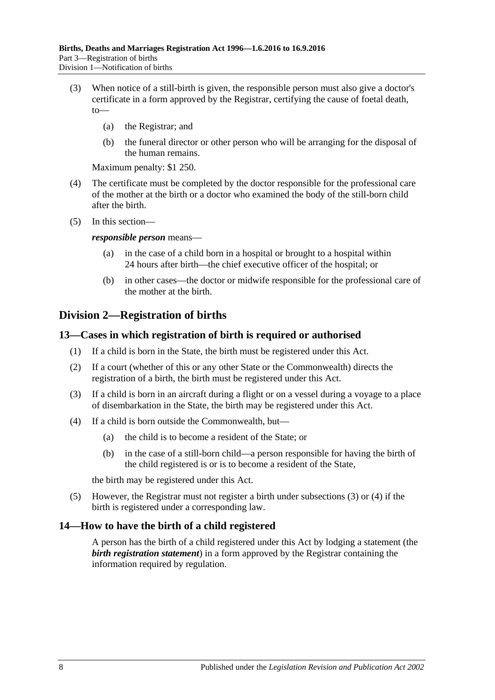- (3) When notice of a still-birth is given, the responsible person must also give a doctor's certificate in a form approved by the Registrar, certifying the cause of foetal death, to—
	- (a) the Registrar; and
	- (b) the funeral director or other person who will be arranging for the disposal of the human remains.

Maximum penalty: \$1 250.

- (4) The certificate must be completed by the doctor responsible for the professional care of the mother at the birth or a doctor who examined the body of the still-born child after the birth.
- (5) In this section—

*responsible person* means—

- (a) in the case of a child born in a hospital or brought to a hospital within 24 hours after birth—the chief executive officer of the hospital; or
- (b) in other cases—the doctor or midwife responsible for the professional care of the mother at the birth.

## <span id="page-7-0"></span>**Division 2—Registration of births**

#### <span id="page-7-1"></span>**13—Cases in which registration of birth is required or authorised**

- (1) If a child is born in the State, the birth must be registered under this Act.
- (2) If a court (whether of this or any other State or the Commonwealth) directs the registration of a birth, the birth must be registered under this Act.
- <span id="page-7-3"></span>(3) If a child is born in an aircraft during a flight or on a vessel during a voyage to a place of disembarkation in the State, the birth may be registered under this Act.
- <span id="page-7-4"></span>(4) If a child is born outside the Commonwealth, but—
	- (a) the child is to become a resident of the State; or
	- (b) in the case of a still-born child—a person responsible for having the birth of the child registered is or is to become a resident of the State,

the birth may be registered under this Act.

(5) However, the Registrar must not register a birth under [subsections](#page-7-3) (3) or [\(4\)](#page-7-4) if the birth is registered under a corresponding law.

#### <span id="page-7-2"></span>**14—How to have the birth of a child registered**

A person has the birth of a child registered under this Act by lodging a statement (the *birth registration statement*) in a form approved by the Registrar containing the information required by regulation.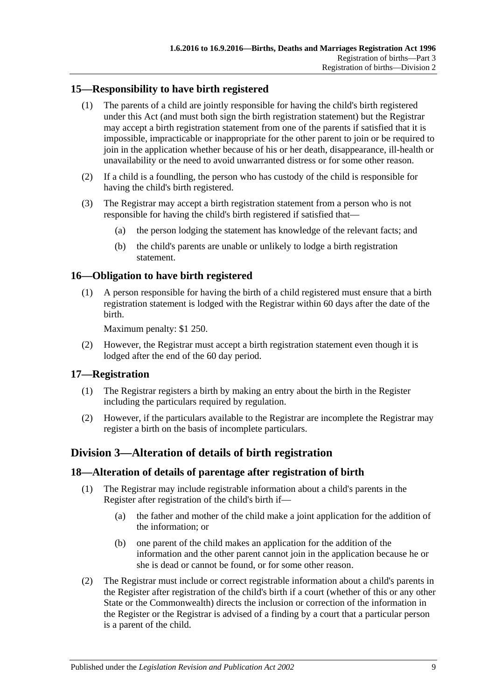## <span id="page-8-0"></span>**15—Responsibility to have birth registered**

- (1) The parents of a child are jointly responsible for having the child's birth registered under this Act (and must both sign the birth registration statement) but the Registrar may accept a birth registration statement from one of the parents if satisfied that it is impossible, impracticable or inappropriate for the other parent to join or be required to join in the application whether because of his or her death, disappearance, ill-health or unavailability or the need to avoid unwarranted distress or for some other reason.
- (2) If a child is a foundling, the person who has custody of the child is responsible for having the child's birth registered.
- (3) The Registrar may accept a birth registration statement from a person who is not responsible for having the child's birth registered if satisfied that—
	- (a) the person lodging the statement has knowledge of the relevant facts; and
	- (b) the child's parents are unable or unlikely to lodge a birth registration statement.

### <span id="page-8-1"></span>**16—Obligation to have birth registered**

(1) A person responsible for having the birth of a child registered must ensure that a birth registration statement is lodged with the Registrar within 60 days after the date of the birth.

Maximum penalty: \$1 250.

(2) However, the Registrar must accept a birth registration statement even though it is lodged after the end of the 60 day period.

#### <span id="page-8-2"></span>**17—Registration**

- (1) The Registrar registers a birth by making an entry about the birth in the Register including the particulars required by regulation.
- (2) However, if the particulars available to the Registrar are incomplete the Registrar may register a birth on the basis of incomplete particulars.

## <span id="page-8-3"></span>**Division 3—Alteration of details of birth registration**

#### <span id="page-8-4"></span>**18—Alteration of details of parentage after registration of birth**

- (1) The Registrar may include registrable information about a child's parents in the Register after registration of the child's birth if—
	- (a) the father and mother of the child make a joint application for the addition of the information; or
	- (b) one parent of the child makes an application for the addition of the information and the other parent cannot join in the application because he or she is dead or cannot be found, or for some other reason.
- (2) The Registrar must include or correct registrable information about a child's parents in the Register after registration of the child's birth if a court (whether of this or any other State or the Commonwealth) directs the inclusion or correction of the information in the Register or the Registrar is advised of a finding by a court that a particular person is a parent of the child.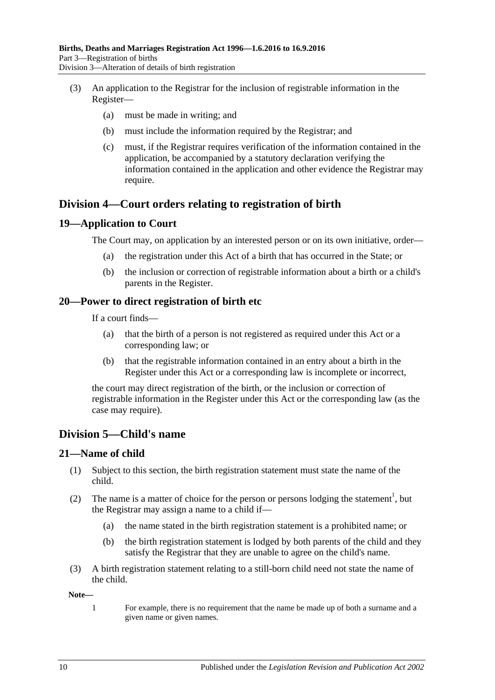- (3) An application to the Registrar for the inclusion of registrable information in the Register—
	- (a) must be made in writing; and
	- (b) must include the information required by the Registrar; and
	- (c) must, if the Registrar requires verification of the information contained in the application, be accompanied by a statutory declaration verifying the information contained in the application and other evidence the Registrar may require.

## <span id="page-9-0"></span>**Division 4—Court orders relating to registration of birth**

#### <span id="page-9-1"></span>**19—Application to Court**

The Court may, on application by an interested person or on its own initiative, order—

- (a) the registration under this Act of a birth that has occurred in the State; or
- (b) the inclusion or correction of registrable information about a birth or a child's parents in the Register.

#### <span id="page-9-2"></span>**20—Power to direct registration of birth etc**

If a court finds—

- (a) that the birth of a person is not registered as required under this Act or a corresponding law; or
- (b) that the registrable information contained in an entry about a birth in the Register under this Act or a corresponding law is incomplete or incorrect,

the court may direct registration of the birth, or the inclusion or correction of registrable information in the Register under this Act or the corresponding law (as the case may require).

## <span id="page-9-3"></span>**Division 5—Child's name**

#### <span id="page-9-4"></span>**21—Name of child**

- (1) Subject to this section, the birth registration statement must state the name of the child.
- (2) The name is a matter of choice for the person or persons lodging the statement<sup>1</sup>, but the Registrar may assign a name to a child if—
	- (a) the name stated in the birth registration statement is a prohibited name; or
	- (b) the birth registration statement is lodged by both parents of the child and they satisfy the Registrar that they are unable to agree on the child's name.
- (3) A birth registration statement relating to a still-born child need not state the name of the child.

**Note—**

1 For example, there is no requirement that the name be made up of both a surname and a given name or given names.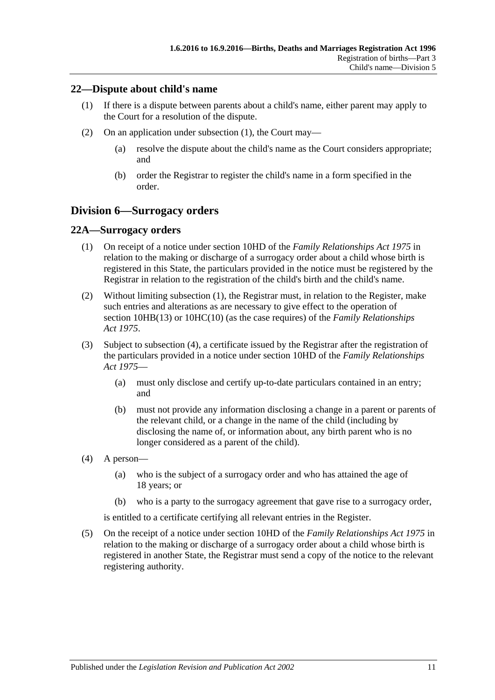#### <span id="page-10-3"></span><span id="page-10-0"></span>**22—Dispute about child's name**

- (1) If there is a dispute between parents about a child's name, either parent may apply to the Court for a resolution of the dispute.
- (2) On an application under [subsection](#page-10-3) (1), the Court may—
	- (a) resolve the dispute about the child's name as the Court considers appropriate; and
	- (b) order the Registrar to register the child's name in a form specified in the order.

## <span id="page-10-1"></span>**Division 6—Surrogacy orders**

#### <span id="page-10-4"></span><span id="page-10-2"></span>**22A—Surrogacy orders**

- (1) On receipt of a notice under section 10HD of the *[Family Relationships Act](http://www.legislation.sa.gov.au/index.aspx?action=legref&type=act&legtitle=Family%20Relationships%20Act%201975) 1975* in relation to the making or discharge of a surrogacy order about a child whose birth is registered in this State, the particulars provided in the notice must be registered by the Registrar in relation to the registration of the child's birth and the child's name.
- (2) Without limiting [subsection](#page-10-4) (1), the Registrar must, in relation to the Register, make such entries and alterations as are necessary to give effect to the operation of section 10HB(13) or 10HC(10) (as the case requires) of the *[Family Relationships](http://www.legislation.sa.gov.au/index.aspx?action=legref&type=act&legtitle=Family%20Relationships%20Act%201975)  Act [1975](http://www.legislation.sa.gov.au/index.aspx?action=legref&type=act&legtitle=Family%20Relationships%20Act%201975)*.
- (3) Subject to [subsection](#page-10-5) (4), a certificate issued by the Registrar after the registration of the particulars provided in a notice under section 10HD of the *[Family Relationships](http://www.legislation.sa.gov.au/index.aspx?action=legref&type=act&legtitle=Family%20Relationships%20Act%201975)  Act [1975](http://www.legislation.sa.gov.au/index.aspx?action=legref&type=act&legtitle=Family%20Relationships%20Act%201975)*—
	- (a) must only disclose and certify up-to-date particulars contained in an entry; and
	- (b) must not provide any information disclosing a change in a parent or parents of the relevant child, or a change in the name of the child (including by disclosing the name of, or information about, any birth parent who is no longer considered as a parent of the child).
- <span id="page-10-5"></span>(4) A person—
	- (a) who is the subject of a surrogacy order and who has attained the age of 18 years; or
	- (b) who is a party to the surrogacy agreement that gave rise to a surrogacy order,

is entitled to a certificate certifying all relevant entries in the Register.

(5) On the receipt of a notice under section 10HD of the *[Family Relationships Act](http://www.legislation.sa.gov.au/index.aspx?action=legref&type=act&legtitle=Family%20Relationships%20Act%201975) 1975* in relation to the making or discharge of a surrogacy order about a child whose birth is registered in another State, the Registrar must send a copy of the notice to the relevant registering authority.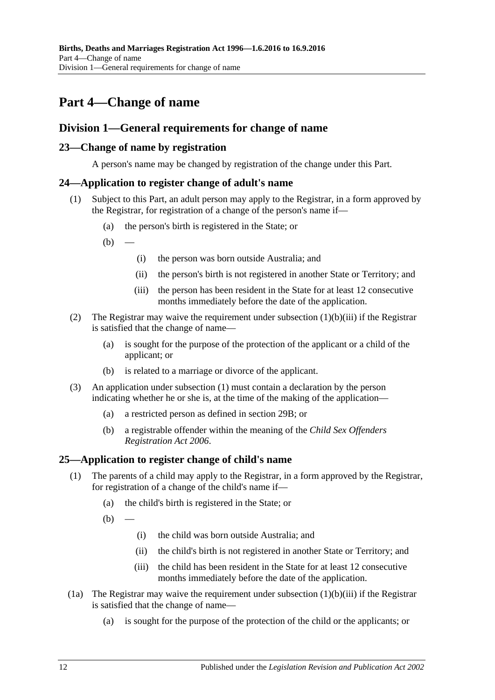# <span id="page-11-0"></span>**Part 4—Change of name**

## <span id="page-11-1"></span>**Division 1—General requirements for change of name**

#### <span id="page-11-2"></span>**23—Change of name by registration**

A person's name may be changed by registration of the change under this Part.

#### <span id="page-11-6"></span><span id="page-11-3"></span>**24—Application to register change of adult's name**

- (1) Subject to this Part, an adult person may apply to the Registrar, in a form approved by the Registrar, for registration of a change of the person's name if—
	- (a) the person's birth is registered in the State; or
	- $(b)$
- (i) the person was born outside Australia; and
- (ii) the person's birth is not registered in another State or Territory; and
- (iii) the person has been resident in the State for at least 12 consecutive months immediately before the date of the application.
- <span id="page-11-5"></span>(2) The Registrar may waive the requirement under [subsection](#page-11-5) (1)(b)(iii) if the Registrar is satisfied that the change of name—
	- (a) is sought for the purpose of the protection of the applicant or a child of the applicant; or
	- (b) is related to a marriage or divorce of the applicant.
- (3) An application under [subsection](#page-11-6) (1) must contain a declaration by the person indicating whether he or she is, at the time of the making of the application—
	- (a) a restricted person as defined in [section](#page-13-3) 29B; or
	- (b) a registrable offender within the meaning of the *[Child Sex Offenders](http://www.legislation.sa.gov.au/index.aspx?action=legref&type=act&legtitle=Child%20Sex%20Offenders%20Registration%20Act%202006)  [Registration Act](http://www.legislation.sa.gov.au/index.aspx?action=legref&type=act&legtitle=Child%20Sex%20Offenders%20Registration%20Act%202006) 2006*.

#### <span id="page-11-4"></span>**25—Application to register change of child's name**

- (1) The parents of a child may apply to the Registrar, in a form approved by the Registrar, for registration of a change of the child's name if—
	- (a) the child's birth is registered in the State; or
	- $(b)$
- (i) the child was born outside Australia; and
- (ii) the child's birth is not registered in another State or Territory; and
- (iii) the child has been resident in the State for at least 12 consecutive months immediately before the date of the application.
- <span id="page-11-7"></span>(1a) The Registrar may waive the requirement under [subsection](#page-11-7)  $(1)(b)(iii)$  if the Registrar is satisfied that the change of name—
	- (a) is sought for the purpose of the protection of the child or the applicants; or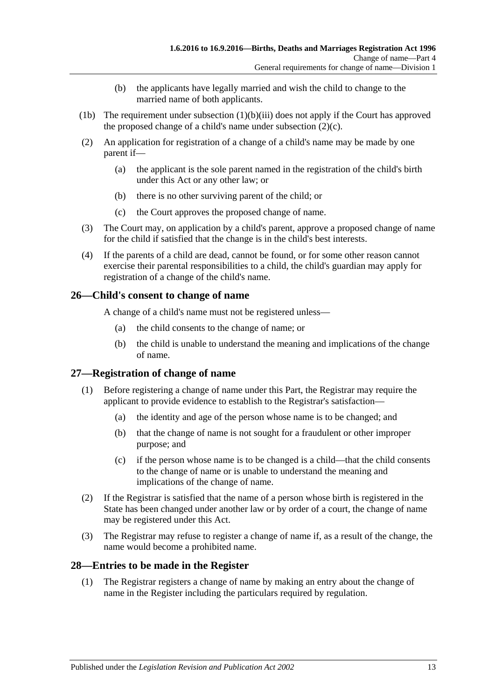- (b) the applicants have legally married and wish the child to change to the married name of both applicants.
- (1b) The requirement under [subsection](#page-11-7)  $(1)(b)(iii)$  does not apply if the Court has approved the proposed change of a child's name under [subsection](#page-12-3)  $(2)(c)$ .
- (2) An application for registration of a change of a child's name may be made by one parent if—
	- (a) the applicant is the sole parent named in the registration of the child's birth under this Act or any other law; or
	- (b) there is no other surviving parent of the child; or
	- (c) the Court approves the proposed change of name.
- <span id="page-12-3"></span>(3) The Court may, on application by a child's parent, approve a proposed change of name for the child if satisfied that the change is in the child's best interests.
- (4) If the parents of a child are dead, cannot be found, or for some other reason cannot exercise their parental responsibilities to a child, the child's guardian may apply for registration of a change of the child's name.

### <span id="page-12-0"></span>**26—Child's consent to change of name**

A change of a child's name must not be registered unless—

- (a) the child consents to the change of name; or
- (b) the child is unable to understand the meaning and implications of the change of name.

## <span id="page-12-1"></span>**27—Registration of change of name**

- (1) Before registering a change of name under this Part, the Registrar may require the applicant to provide evidence to establish to the Registrar's satisfaction—
	- (a) the identity and age of the person whose name is to be changed; and
	- (b) that the change of name is not sought for a fraudulent or other improper purpose; and
	- (c) if the person whose name is to be changed is a child—that the child consents to the change of name or is unable to understand the meaning and implications of the change of name.
- (2) If the Registrar is satisfied that the name of a person whose birth is registered in the State has been changed under another law or by order of a court, the change of name may be registered under this Act.
- (3) The Registrar may refuse to register a change of name if, as a result of the change, the name would become a prohibited name.

#### <span id="page-12-2"></span>**28—Entries to be made in the Register**

(1) The Registrar registers a change of name by making an entry about the change of name in the Register including the particulars required by regulation.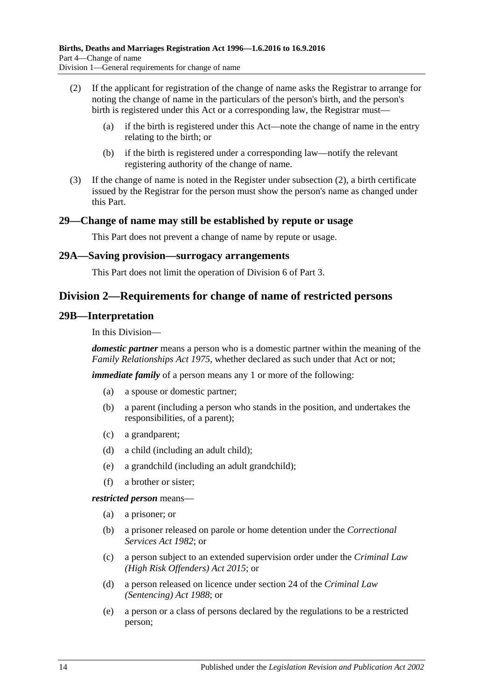- <span id="page-13-4"></span>(2) If the applicant for registration of the change of name asks the Registrar to arrange for noting the change of name in the particulars of the person's birth, and the person's birth is registered under this Act or a corresponding law, the Registrar must—
	- (a) if the birth is registered under this Act—note the change of name in the entry relating to the birth; or
	- (b) if the birth is registered under a corresponding law—notify the relevant registering authority of the change of name.
- (3) If the change of name is noted in the Register under [subsection](#page-13-4) (2), a birth certificate issued by the Registrar for the person must show the person's name as changed under this Part.

#### <span id="page-13-0"></span>**29—Change of name may still be established by repute or usage**

This Part does not prevent a change of name by repute or usage.

#### <span id="page-13-1"></span>**29A—Saving provision—surrogacy arrangements**

This Part does not limit the operation of [Division 6](#page-10-1) of [Part 3.](#page-6-2)

## <span id="page-13-2"></span>**Division 2—Requirements for change of name of restricted persons**

#### <span id="page-13-3"></span>**29B—Interpretation**

In this Division—

*domestic partner* means a person who is a domestic partner within the meaning of the *[Family Relationships Act](http://www.legislation.sa.gov.au/index.aspx?action=legref&type=act&legtitle=Family%20Relationships%20Act%201975) 1975*, whether declared as such under that Act or not;

*immediate family* of a person means any 1 or more of the following:

- (a) a spouse or domestic partner;
- (b) a parent (including a person who stands in the position, and undertakes the responsibilities, of a parent);
- (c) a grandparent;
- (d) a child (including an adult child);
- (e) a grandchild (including an adult grandchild);
- (f) a brother or sister;

*restricted person* means—

- (a) a prisoner; or
- (b) a prisoner released on parole or home detention under the *[Correctional](http://www.legislation.sa.gov.au/index.aspx?action=legref&type=act&legtitle=Correctional%20Services%20Act%201982)  [Services Act](http://www.legislation.sa.gov.au/index.aspx?action=legref&type=act&legtitle=Correctional%20Services%20Act%201982) 1982*; or
- (c) a person subject to an extended supervision order under the *[Criminal Law](http://www.legislation.sa.gov.au/index.aspx?action=legref&type=act&legtitle=Criminal%20Law%20(High%20Risk%20Offenders)%20Act%202015)  [\(High Risk Offenders\) Act](http://www.legislation.sa.gov.au/index.aspx?action=legref&type=act&legtitle=Criminal%20Law%20(High%20Risk%20Offenders)%20Act%202015) 2015*; or
- (d) a person released on licence under section 24 of the *[Criminal Law](http://www.legislation.sa.gov.au/index.aspx?action=legref&type=act&legtitle=Criminal%20Law%20(Sentencing)%20Act%201988)  [\(Sentencing\) Act](http://www.legislation.sa.gov.au/index.aspx?action=legref&type=act&legtitle=Criminal%20Law%20(Sentencing)%20Act%201988) 1988*; or
- (e) a person or a class of persons declared by the regulations to be a restricted person;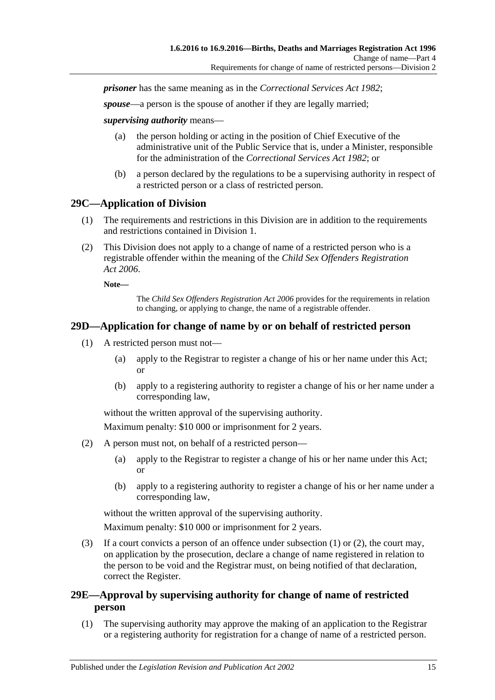*prisoner* has the same meaning as in the *[Correctional Services Act](http://www.legislation.sa.gov.au/index.aspx?action=legref&type=act&legtitle=Correctional%20Services%20Act%201982) 1982*;

*spouse*—a person is the spouse of another if they are legally married;

*supervising authority* means—

- (a) the person holding or acting in the position of Chief Executive of the administrative unit of the Public Service that is, under a Minister, responsible for the administration of the *[Correctional Services Act](http://www.legislation.sa.gov.au/index.aspx?action=legref&type=act&legtitle=Correctional%20Services%20Act%201982) 1982*; or
- (b) a person declared by the regulations to be a supervising authority in respect of a restricted person or a class of restricted person.

#### <span id="page-14-0"></span>**29C—Application of Division**

- (1) The requirements and restrictions in this Division are in addition to the requirements and restrictions contained in [Division 1.](#page-11-1)
- (2) This Division does not apply to a change of name of a restricted person who is a registrable offender within the meaning of the *[Child Sex Offenders Registration](http://www.legislation.sa.gov.au/index.aspx?action=legref&type=act&legtitle=Child%20Sex%20Offenders%20Registration%20Act%202006)  Act [2006](http://www.legislation.sa.gov.au/index.aspx?action=legref&type=act&legtitle=Child%20Sex%20Offenders%20Registration%20Act%202006)*.

**Note—**

The *[Child Sex Offenders Registration Act](http://www.legislation.sa.gov.au/index.aspx?action=legref&type=act&legtitle=Child%20Sex%20Offenders%20Registration%20Act%202006) 2006* provides for the requirements in relation to changing, or applying to change, the name of a registrable offender.

#### <span id="page-14-3"></span><span id="page-14-1"></span>**29D—Application for change of name by or on behalf of restricted person**

- (1) A restricted person must not—
	- (a) apply to the Registrar to register a change of his or her name under this Act; or
	- (b) apply to a registering authority to register a change of his or her name under a corresponding law,

without the written approval of the supervising authority.

Maximum penalty: \$10 000 or imprisonment for 2 years.

- <span id="page-14-4"></span>(2) A person must not, on behalf of a restricted person—
	- (a) apply to the Registrar to register a change of his or her name under this Act; or
	- (b) apply to a registering authority to register a change of his or her name under a corresponding law,

without the written approval of the supervising authority.

Maximum penalty: \$10 000 or imprisonment for 2 years.

(3) If a court convicts a person of an offence under subsection  $(1)$  or  $(2)$ , the court may, on application by the prosecution, declare a change of name registered in relation to the person to be void and the Registrar must, on being notified of that declaration, correct the Register.

### <span id="page-14-2"></span>**29E—Approval by supervising authority for change of name of restricted person**

<span id="page-14-5"></span>(1) The supervising authority may approve the making of an application to the Registrar or a registering authority for registration for a change of name of a restricted person.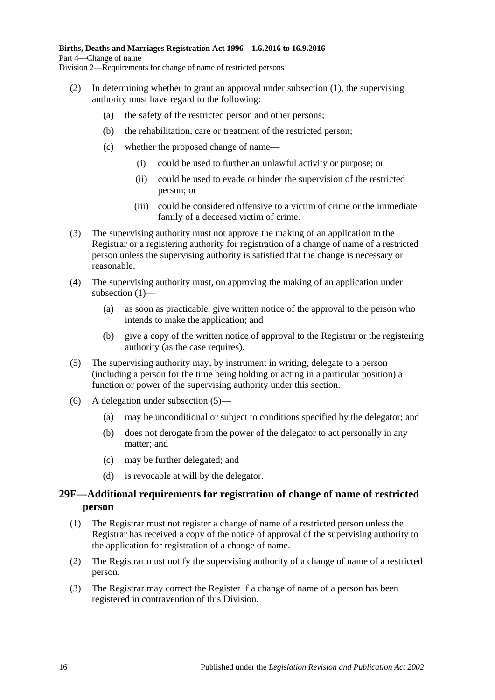- (2) In determining whether to grant an approval under [subsection](#page-14-5) (1), the supervising authority must have regard to the following:
	- (a) the safety of the restricted person and other persons;
	- (b) the rehabilitation, care or treatment of the restricted person;
	- (c) whether the proposed change of name—
		- (i) could be used to further an unlawful activity or purpose; or
		- (ii) could be used to evade or hinder the supervision of the restricted person; or
		- (iii) could be considered offensive to a victim of crime or the immediate family of a deceased victim of crime.
- (3) The supervising authority must not approve the making of an application to the Registrar or a registering authority for registration of a change of name of a restricted person unless the supervising authority is satisfied that the change is necessary or reasonable.
- (4) The supervising authority must, on approving the making of an application under [subsection](#page-14-5) (1)—
	- (a) as soon as practicable, give written notice of the approval to the person who intends to make the application; and
	- (b) give a copy of the written notice of approval to the Registrar or the registering authority (as the case requires).
- <span id="page-15-1"></span>(5) The supervising authority may, by instrument in writing, delegate to a person (including a person for the time being holding or acting in a particular position) a function or power of the supervising authority under this section.
- (6) A delegation under [subsection](#page-15-1) (5)—
	- (a) may be unconditional or subject to conditions specified by the delegator; and
	- (b) does not derogate from the power of the delegator to act personally in any matter; and
	- (c) may be further delegated; and
	- (d) is revocable at will by the delegator.

#### <span id="page-15-0"></span>**29F—Additional requirements for registration of change of name of restricted person**

- (1) The Registrar must not register a change of name of a restricted person unless the Registrar has received a copy of the notice of approval of the supervising authority to the application for registration of a change of name.
- (2) The Registrar must notify the supervising authority of a change of name of a restricted person.
- (3) The Registrar may correct the Register if a change of name of a person has been registered in contravention of this Division.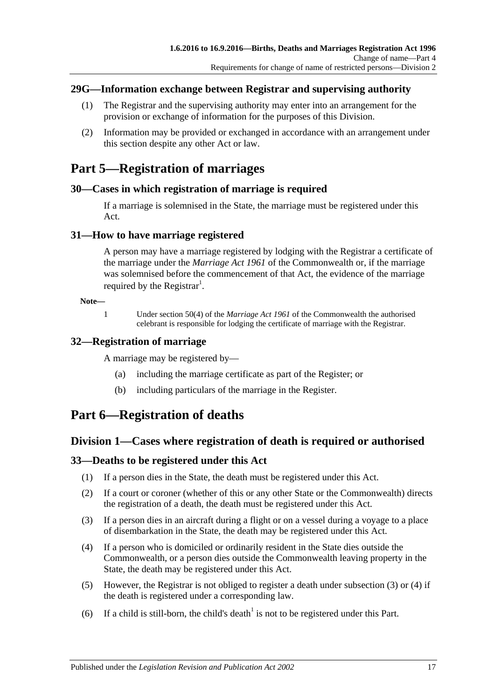### <span id="page-16-0"></span>**29G—Information exchange between Registrar and supervising authority**

- (1) The Registrar and the supervising authority may enter into an arrangement for the provision or exchange of information for the purposes of this Division.
- (2) Information may be provided or exchanged in accordance with an arrangement under this section despite any other Act or law.

# <span id="page-16-1"></span>**Part 5—Registration of marriages**

### <span id="page-16-2"></span>**30—Cases in which registration of marriage is required**

If a marriage is solemnised in the State, the marriage must be registered under this Act.

### <span id="page-16-3"></span>**31—How to have marriage registered**

A person may have a marriage registered by lodging with the Registrar a certificate of the marriage under the *Marriage Act 1961* of the Commonwealth or, if the marriage was solemnised before the commencement of that Act, the evidence of the marriage required by the Registrar<sup>1</sup>.

#### **Note—**

1 Under section 50(4) of the *Marriage Act 1961* of the Commonwealth the authorised celebrant is responsible for lodging the certificate of marriage with the Registrar.

## <span id="page-16-4"></span>**32—Registration of marriage**

A marriage may be registered by—

- (a) including the marriage certificate as part of the Register; or
- (b) including particulars of the marriage in the Register.

# <span id="page-16-5"></span>**Part 6—Registration of deaths**

## <span id="page-16-6"></span>**Division 1—Cases where registration of death is required or authorised**

## <span id="page-16-7"></span>**33—Deaths to be registered under this Act**

- (1) If a person dies in the State, the death must be registered under this Act.
- (2) If a court or coroner (whether of this or any other State or the Commonwealth) directs the registration of a death, the death must be registered under this Act.
- <span id="page-16-8"></span>(3) If a person dies in an aircraft during a flight or on a vessel during a voyage to a place of disembarkation in the State, the death may be registered under this Act.
- <span id="page-16-9"></span>(4) If a person who is domiciled or ordinarily resident in the State dies outside the Commonwealth, or a person dies outside the Commonwealth leaving property in the State, the death may be registered under this Act.
- (5) However, the Registrar is not obliged to register a death under [subsection](#page-16-8) (3) or [\(4\)](#page-16-9) if the death is registered under a corresponding law.
- (6) If a child is still-born, the child's death<sup>1</sup> is not to be registered under this Part.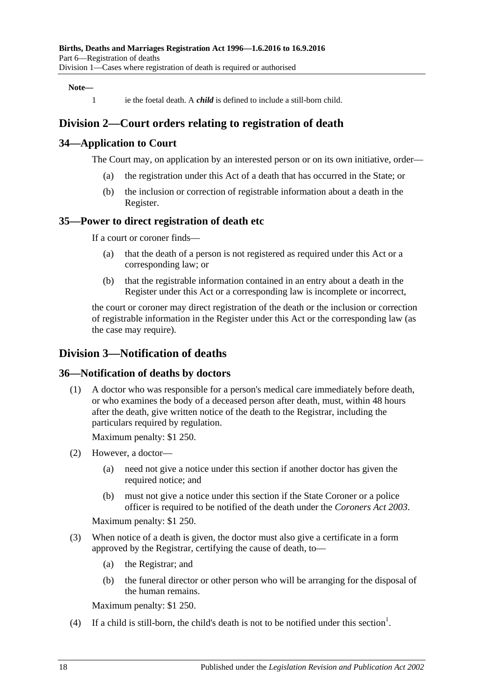#### **Note—**

1 ie the foetal death. A *child* is defined to include a still-born child.

## <span id="page-17-0"></span>**Division 2—Court orders relating to registration of death**

#### <span id="page-17-1"></span>**34—Application to Court**

The Court may, on application by an interested person or on its own initiative, order—

- (a) the registration under this Act of a death that has occurred in the State; or
- (b) the inclusion or correction of registrable information about a death in the Register.

#### <span id="page-17-2"></span>**35—Power to direct registration of death etc**

If a court or coroner finds—

- (a) that the death of a person is not registered as required under this Act or a corresponding law; or
- (b) that the registrable information contained in an entry about a death in the Register under this Act or a corresponding law is incomplete or incorrect,

the court or coroner may direct registration of the death or the inclusion or correction of registrable information in the Register under this Act or the corresponding law (as the case may require).

### <span id="page-17-3"></span>**Division 3—Notification of deaths**

#### <span id="page-17-4"></span>**36—Notification of deaths by doctors**

(1) A doctor who was responsible for a person's medical care immediately before death, or who examines the body of a deceased person after death, must, within 48 hours after the death, give written notice of the death to the Registrar, including the particulars required by regulation.

Maximum penalty: \$1 250.

- (2) However, a doctor—
	- (a) need not give a notice under this section if another doctor has given the required notice; and
	- (b) must not give a notice under this section if the State Coroner or a police officer is required to be notified of the death under the *[Coroners Act](http://www.legislation.sa.gov.au/index.aspx?action=legref&type=act&legtitle=Coroners%20Act%202003) 2003*.

Maximum penalty: \$1 250.

- (3) When notice of a death is given, the doctor must also give a certificate in a form approved by the Registrar, certifying the cause of death, to—
	- (a) the Registrar; and
	- (b) the funeral director or other person who will be arranging for the disposal of the human remains.

Maximum penalty: \$1 250.

(4) If a child is still-born, the child's death is not to be notified under this section<sup>1</sup>.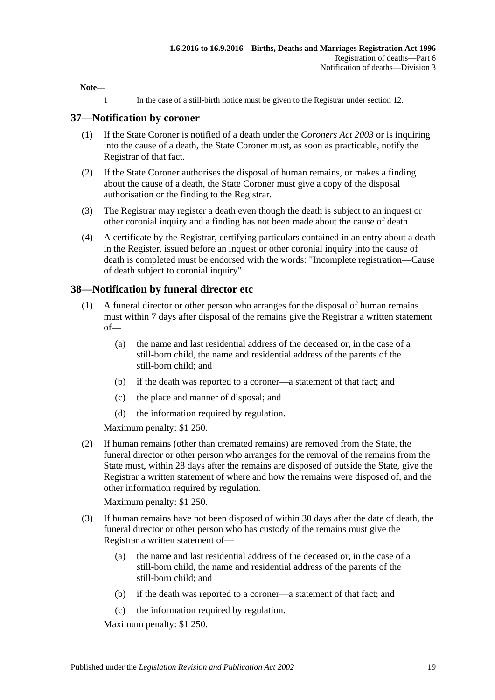**Note—**

1 In the case of a still-birth notice must be given to the Registrar under [section](#page-6-4) 12.

#### <span id="page-18-0"></span>**37—Notification by coroner**

- (1) If the State Coroner is notified of a death under the *[Coroners Act](http://www.legislation.sa.gov.au/index.aspx?action=legref&type=act&legtitle=Coroners%20Act%202003) 2003* or is inquiring into the cause of a death, the State Coroner must, as soon as practicable, notify the Registrar of that fact.
- (2) If the State Coroner authorises the disposal of human remains, or makes a finding about the cause of a death, the State Coroner must give a copy of the disposal authorisation or the finding to the Registrar.
- (3) The Registrar may register a death even though the death is subject to an inquest or other coronial inquiry and a finding has not been made about the cause of death.
- (4) A certificate by the Registrar, certifying particulars contained in an entry about a death in the Register, issued before an inquest or other coronial inquiry into the cause of death is completed must be endorsed with the words: "Incomplete registration—Cause of death subject to coronial inquiry".

#### <span id="page-18-1"></span>**38—Notification by funeral director etc**

- (1) A funeral director or other person who arranges for the disposal of human remains must within 7 days after disposal of the remains give the Registrar a written statement of—
	- (a) the name and last residential address of the deceased or, in the case of a still-born child, the name and residential address of the parents of the still-born child; and
	- (b) if the death was reported to a coroner—a statement of that fact; and
	- (c) the place and manner of disposal; and
	- (d) the information required by regulation.

Maximum penalty: \$1 250.

(2) If human remains (other than cremated remains) are removed from the State, the funeral director or other person who arranges for the removal of the remains from the State must, within 28 days after the remains are disposed of outside the State, give the Registrar a written statement of where and how the remains were disposed of, and the other information required by regulation.

Maximum penalty: \$1 250.

- (3) If human remains have not been disposed of within 30 days after the date of death, the funeral director or other person who has custody of the remains must give the Registrar a written statement of—
	- (a) the name and last residential address of the deceased or, in the case of a still-born child, the name and residential address of the parents of the still-born child; and
	- (b) if the death was reported to a coroner—a statement of that fact; and
	- (c) the information required by regulation.

Maximum penalty: \$1 250.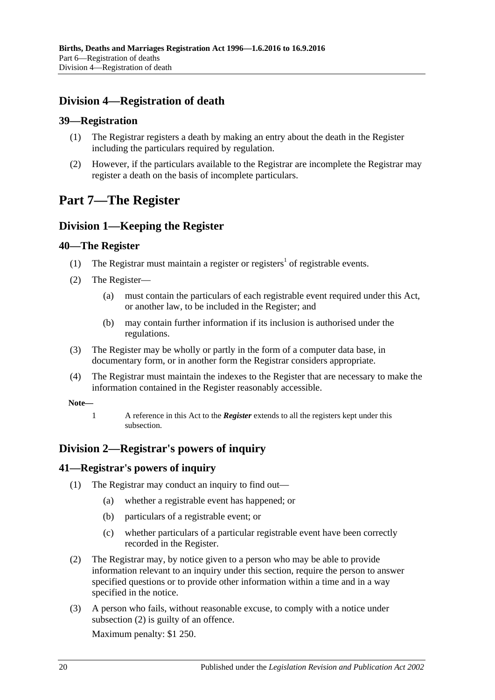## <span id="page-19-0"></span>**Division 4—Registration of death**

### <span id="page-19-1"></span>**39—Registration**

- (1) The Registrar registers a death by making an entry about the death in the Register including the particulars required by regulation.
- (2) However, if the particulars available to the Registrar are incomplete the Registrar may register a death on the basis of incomplete particulars.

# <span id="page-19-2"></span>**Part 7—The Register**

## <span id="page-19-3"></span>**Division 1—Keeping the Register**

### <span id="page-19-4"></span>**40—The Register**

- (1) The Registrar must maintain a register or registers<sup>1</sup> of registrable events.
- <span id="page-19-7"></span>(2) The Register—
	- (a) must contain the particulars of each registrable event required under this Act, or another law, to be included in the Register; and
	- (b) may contain further information if its inclusion is authorised under the regulations.
- (3) The Register may be wholly or partly in the form of a computer data base, in documentary form, or in another form the Registrar considers appropriate.
- (4) The Registrar must maintain the indexes to the Register that are necessary to make the information contained in the Register reasonably accessible.

#### **Note—**

1 A reference in this Act to the *Register* extends to all the registers kept under this subsection.

## <span id="page-19-5"></span>**Division 2—Registrar's powers of inquiry**

## <span id="page-19-6"></span>**41—Registrar's powers of inquiry**

- (1) The Registrar may conduct an inquiry to find out—
	- (a) whether a registrable event has happened; or
	- (b) particulars of a registrable event; or
	- (c) whether particulars of a particular registrable event have been correctly recorded in the Register.
- <span id="page-19-8"></span>(2) The Registrar may, by notice given to a person who may be able to provide information relevant to an inquiry under this section, require the person to answer specified questions or to provide other information within a time and in a way specified in the notice.
- (3) A person who fails, without reasonable excuse, to comply with a notice under [subsection](#page-19-8) (2) is guilty of an offence.

Maximum penalty: \$1 250.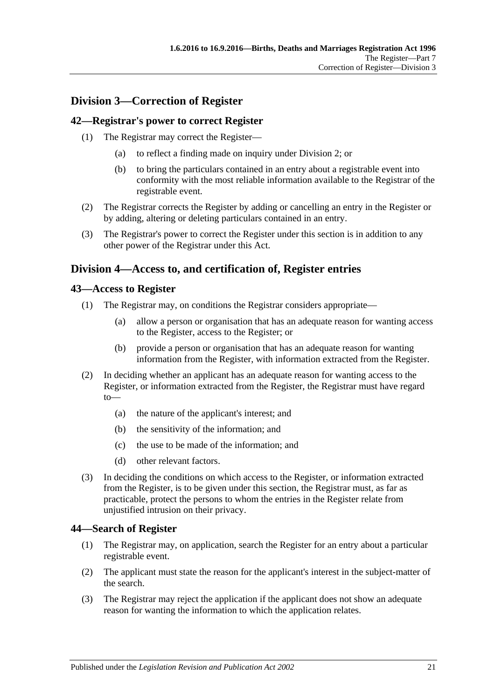## <span id="page-20-0"></span>**Division 3—Correction of Register**

#### <span id="page-20-1"></span>**42—Registrar's power to correct Register**

- (1) The Registrar may correct the Register—
	- (a) to reflect a finding made on inquiry under [Division 2;](#page-19-5) or
	- (b) to bring the particulars contained in an entry about a registrable event into conformity with the most reliable information available to the Registrar of the registrable event.
- (2) The Registrar corrects the Register by adding or cancelling an entry in the Register or by adding, altering or deleting particulars contained in an entry.
- (3) The Registrar's power to correct the Register under this section is in addition to any other power of the Registrar under this Act.

## <span id="page-20-2"></span>**Division 4—Access to, and certification of, Register entries**

#### <span id="page-20-3"></span>**43—Access to Register**

- (1) The Registrar may, on conditions the Registrar considers appropriate—
	- (a) allow a person or organisation that has an adequate reason for wanting access to the Register, access to the Register; or
	- (b) provide a person or organisation that has an adequate reason for wanting information from the Register, with information extracted from the Register.
- (2) In deciding whether an applicant has an adequate reason for wanting access to the Register, or information extracted from the Register, the Registrar must have regard to—
	- (a) the nature of the applicant's interest; and
	- (b) the sensitivity of the information; and
	- (c) the use to be made of the information; and
	- (d) other relevant factors.
- (3) In deciding the conditions on which access to the Register, or information extracted from the Register, is to be given under this section, the Registrar must, as far as practicable, protect the persons to whom the entries in the Register relate from unjustified intrusion on their privacy.

#### <span id="page-20-4"></span>**44—Search of Register**

- (1) The Registrar may, on application, search the Register for an entry about a particular registrable event.
- (2) The applicant must state the reason for the applicant's interest in the subject-matter of the search.
- (3) The Registrar may reject the application if the applicant does not show an adequate reason for wanting the information to which the application relates.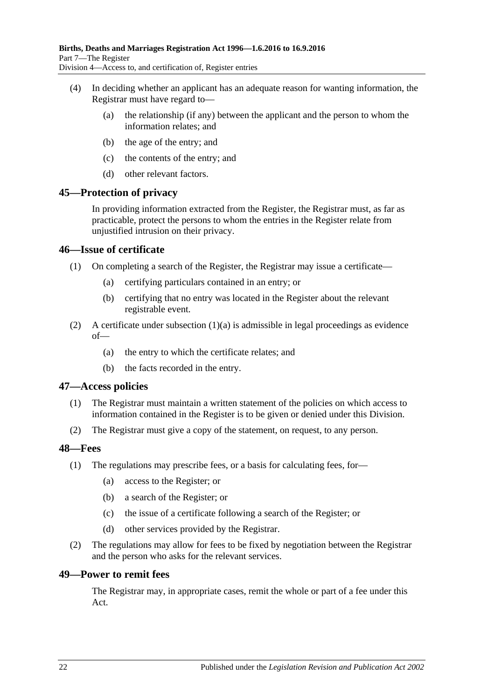- (4) In deciding whether an applicant has an adequate reason for wanting information, the Registrar must have regard to—
	- (a) the relationship (if any) between the applicant and the person to whom the information relates; and
	- (b) the age of the entry; and
	- (c) the contents of the entry; and
	- (d) other relevant factors.

#### <span id="page-21-0"></span>**45—Protection of privacy**

In providing information extracted from the Register, the Registrar must, as far as practicable, protect the persons to whom the entries in the Register relate from unjustified intrusion on their privacy.

#### <span id="page-21-1"></span>**46—Issue of certificate**

- <span id="page-21-5"></span>(1) On completing a search of the Register, the Registrar may issue a certificate—
	- (a) certifying particulars contained in an entry; or
	- (b) certifying that no entry was located in the Register about the relevant registrable event.
- (2) A certificate under [subsection](#page-21-5)  $(1)(a)$  is admissible in legal proceedings as evidence of—
	- (a) the entry to which the certificate relates; and
	- (b) the facts recorded in the entry.

#### <span id="page-21-2"></span>**47—Access policies**

- (1) The Registrar must maintain a written statement of the policies on which access to information contained in the Register is to be given or denied under this Division.
- (2) The Registrar must give a copy of the statement, on request, to any person.

#### <span id="page-21-3"></span>**48—Fees**

- (1) The regulations may prescribe fees, or a basis for calculating fees, for—
	- (a) access to the Register; or
	- (b) a search of the Register; or
	- (c) the issue of a certificate following a search of the Register; or
	- (d) other services provided by the Registrar.
- (2) The regulations may allow for fees to be fixed by negotiation between the Registrar and the person who asks for the relevant services.

#### <span id="page-21-4"></span>**49—Power to remit fees**

The Registrar may, in appropriate cases, remit the whole or part of a fee under this Act.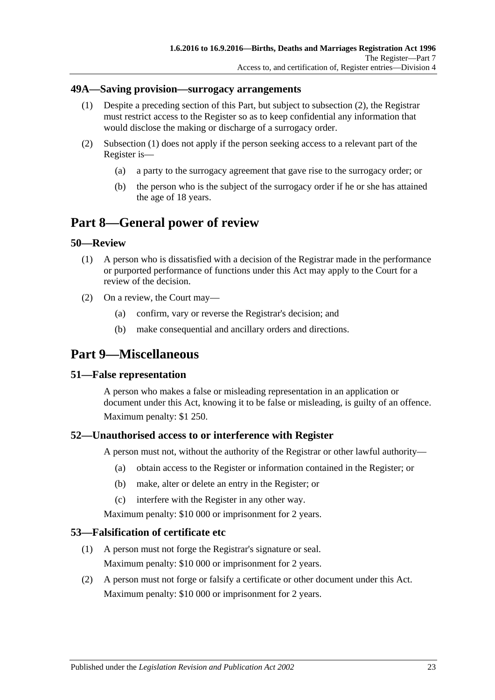#### <span id="page-22-8"></span><span id="page-22-0"></span>**49A—Saving provision—surrogacy arrangements**

- (1) Despite a preceding section of this Part, but subject to [subsection](#page-22-7) (2), the Registrar must restrict access to the Register so as to keep confidential any information that would disclose the making or discharge of a surrogacy order.
- <span id="page-22-7"></span>(2) [Subsection](#page-22-8) (1) does not apply if the person seeking access to a relevant part of the Register is—
	- (a) a party to the surrogacy agreement that gave rise to the surrogacy order; or
	- (b) the person who is the subject of the surrogacy order if he or she has attained the age of 18 years.

## <span id="page-22-1"></span>**Part 8—General power of review**

#### <span id="page-22-2"></span>**50—Review**

- (1) A person who is dissatisfied with a decision of the Registrar made in the performance or purported performance of functions under this Act may apply to the Court for a review of the decision.
- (2) On a review, the Court may—
	- (a) confirm, vary or reverse the Registrar's decision; and
	- (b) make consequential and ancillary orders and directions.

## <span id="page-22-3"></span>**Part 9—Miscellaneous**

#### <span id="page-22-4"></span>**51—False representation**

A person who makes a false or misleading representation in an application or document under this Act, knowing it to be false or misleading, is guilty of an offence. Maximum penalty: \$1 250.

#### <span id="page-22-5"></span>**52—Unauthorised access to or interference with Register**

A person must not, without the authority of the Registrar or other lawful authority—

- (a) obtain access to the Register or information contained in the Register; or
- (b) make, alter or delete an entry in the Register; or
- (c) interfere with the Register in any other way.

Maximum penalty: \$10 000 or imprisonment for 2 years.

#### <span id="page-22-6"></span>**53—Falsification of certificate etc**

- (1) A person must not forge the Registrar's signature or seal. Maximum penalty: \$10 000 or imprisonment for 2 years.
- (2) A person must not forge or falsify a certificate or other document under this Act. Maximum penalty: \$10 000 or imprisonment for 2 years.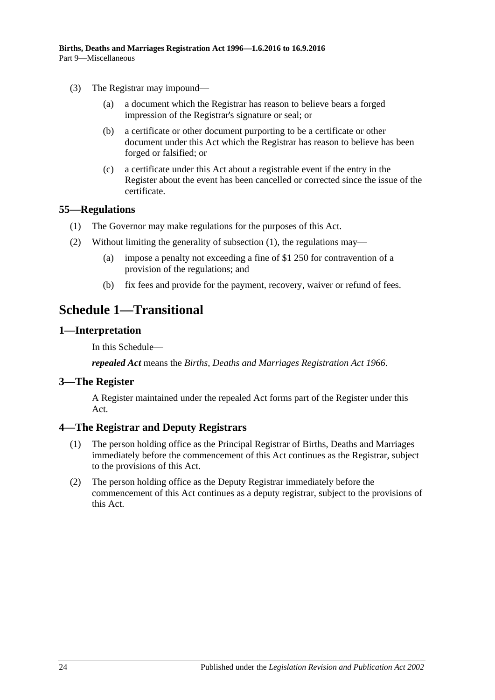- (3) The Registrar may impound—
	- (a) a document which the Registrar has reason to believe bears a forged impression of the Registrar's signature or seal; or
	- (b) a certificate or other document purporting to be a certificate or other document under this Act which the Registrar has reason to believe has been forged or falsified; or
	- (c) a certificate under this Act about a registrable event if the entry in the Register about the event has been cancelled or corrected since the issue of the certificate.

#### <span id="page-23-5"></span><span id="page-23-0"></span>**55—Regulations**

- (1) The Governor may make regulations for the purposes of this Act.
- (2) Without limiting the generality of [subsection](#page-23-5) (1), the regulations may—
	- (a) impose a penalty not exceeding a fine of \$1 250 for contravention of a provision of the regulations; and
	- (b) fix fees and provide for the payment, recovery, waiver or refund of fees.

## <span id="page-23-1"></span>**Schedule 1—Transitional**

#### <span id="page-23-2"></span>**1—Interpretation**

In this Schedule—

*repealed Act* means the *[Births, Deaths and Marriages Registration Act](http://www.legislation.sa.gov.au/index.aspx?action=legref&type=act&legtitle=Births%20Deaths%20and%20Marriages%20Registration%20Act%201966) 1966*.

#### <span id="page-23-3"></span>**3—The Register**

A Register maintained under the repealed Act forms part of the Register under this Act.

#### <span id="page-23-4"></span>**4—The Registrar and Deputy Registrars**

- (1) The person holding office as the Principal Registrar of Births, Deaths and Marriages immediately before the commencement of this Act continues as the Registrar, subject to the provisions of this Act.
- (2) The person holding office as the Deputy Registrar immediately before the commencement of this Act continues as a deputy registrar, subject to the provisions of this Act.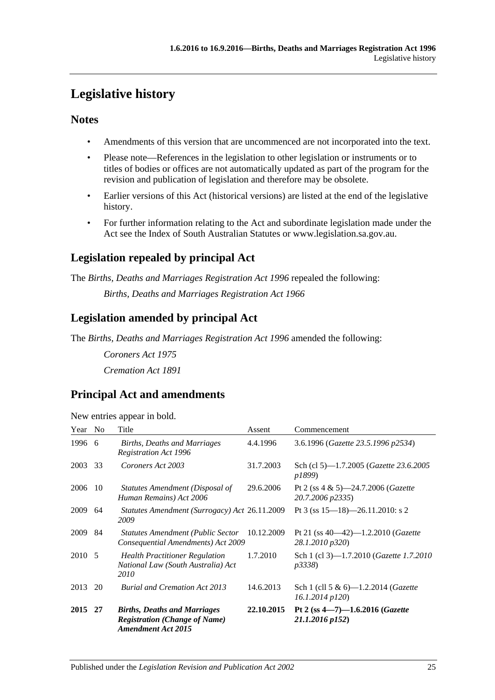# <span id="page-24-0"></span>**Legislative history**

## **Notes**

- Amendments of this version that are uncommenced are not incorporated into the text.
- Please note—References in the legislation to other legislation or instruments or to titles of bodies or offices are not automatically updated as part of the program for the revision and publication of legislation and therefore may be obsolete.
- Earlier versions of this Act (historical versions) are listed at the end of the legislative history.
- For further information relating to the Act and subordinate legislation made under the Act see the Index of South Australian Statutes or www.legislation.sa.gov.au.

## **Legislation repealed by principal Act**

The *Births, Deaths and Marriages Registration Act 1996* repealed the following:

*Births, Deaths and Marriages Registration Act 1966*

## **Legislation amended by principal Act**

The *Births, Deaths and Marriages Registration Act 1996* amended the following:

*Coroners Act 1975 Cremation Act 1891*

## **Principal Act and amendments**

| New entries appear in bold. |  |  |
|-----------------------------|--|--|

| Year    | N <sub>0</sub> | Title                                                                                                    | Assent     | Commencement                                                       |
|---------|----------------|----------------------------------------------------------------------------------------------------------|------------|--------------------------------------------------------------------|
| 1996    | -6             | <b>Births, Deaths and Marriages</b><br>Registration Act 1996                                             | 4.4.1996   | 3.6.1996 (Gazette 23.5.1996 p2534)                                 |
| 2003    | 33             | Coroners Act 2003                                                                                        | 31.7.2003  | Sch (cl 5)-1.7.2005 ( <i>Gazette 23.6.2005</i><br>p1899)           |
| 2006    | 10             | Statutes Amendment (Disposal of<br>Human Remains) Act 2006                                               | 29.6.2006  | Pt 2 (ss $4 \& 5$ )—24.7.2006 ( <i>Gazette</i><br>20.7.2006 p2335) |
| 2009    | 64             | Statutes Amendment (Surrogacy) Act 26.11.2009<br>2009                                                    |            | Pt 3 (ss $15-18$ )-26.11.2010: s 2                                 |
| 2009    | 84             | <b>Statutes Amendment (Public Sector</b><br>Consequential Amendments) Act 2009                           | 10.12.2009 | Pt 21 (ss $40-42$ )-1.2.2010 ( <i>Gazette</i><br>28.1.2010 p320)   |
| 2010 5  |                | <b>Health Practitioner Regulation</b><br>National Law (South Australia) Act<br>2010                      | 1.7.2010   | Sch 1 (cl 3)-1.7.2010 ( <i>Gazette 1.7.2010</i><br><i>p</i> 3338)  |
| 2013    | 20             | <b>Burial and Cremation Act 2013</b>                                                                     | 14.6.2013  | Sch 1 (cll 5 & 6)—1.2.2014 ( <i>Gazette</i><br>$16.1.2014$ $p120$  |
| 2015 27 |                | <b>Births, Deaths and Marriages</b><br><b>Registration (Change of Name)</b><br><b>Amendment Act 2015</b> | 22.10.2015 | Pt 2 (ss $4 - 7$ ) $-1.6.2016$ (Gazette<br>21.1.2016 p152)         |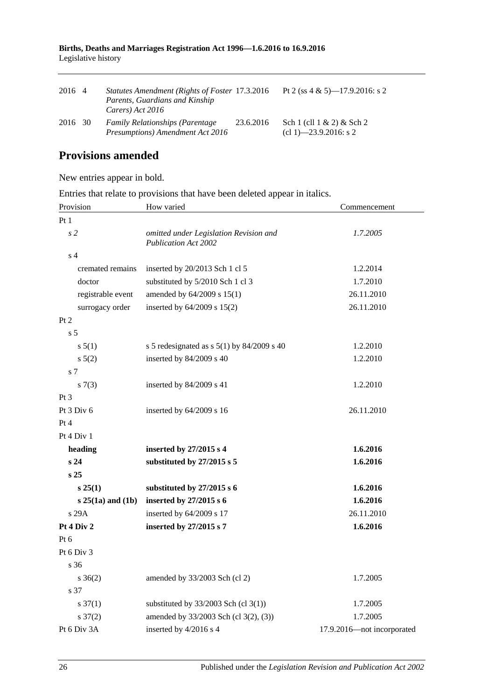|                     | Births, Deaths and Marriages Registration Act 1996-1.6.2016 to 16.9.2016 |  |  |
|---------------------|--------------------------------------------------------------------------|--|--|
| Legislative history |                                                                          |  |  |

| 2016 4  | Statutes Amendment (Rights of Foster 17.3.2016)<br>Parents, Guardians and Kinship<br>Carers) Act 2016 |           | Pt 2 (ss 4 & 5)—17.9.2016: s 2                            |
|---------|-------------------------------------------------------------------------------------------------------|-----------|-----------------------------------------------------------|
| 2016 30 | <b>Family Relationships (Parentage)</b><br>Presumptions) Amendment Act 2016                           | 23.6.2016 | Sch 1 (cll $1 \& 2$ ) $\&$ Sch 2<br>(cl 1)–23.9.2016: s 2 |

## **Provisions amended**

New entries appear in bold.

Entries that relate to provisions that have been deleted appear in italics.

| Provision           | How varied                                                     | Commencement               |
|---------------------|----------------------------------------------------------------|----------------------------|
| Pt1                 |                                                                |                            |
| s <sub>2</sub>      | omitted under Legislation Revision and<br>Publication Act 2002 | 1.7.2005                   |
| s <sub>4</sub>      |                                                                |                            |
| cremated remains    | inserted by 20/2013 Sch 1 cl 5                                 | 1.2.2014                   |
| doctor              | substituted by 5/2010 Sch 1 cl 3                               | 1.7.2010                   |
| registrable event   | amended by 64/2009 s 15(1)                                     | 26.11.2010                 |
| surrogacy order     | inserted by 64/2009 s 15(2)                                    | 26.11.2010                 |
| Pt 2                |                                                                |                            |
| s <sub>5</sub>      |                                                                |                            |
| s 5(1)              | s 5 redesignated as s $5(1)$ by 84/2009 s 40                   | 1.2.2010                   |
| s 5(2)              | inserted by 84/2009 s 40                                       | 1.2.2010                   |
| s 7                 |                                                                |                            |
| s(7(3))             | inserted by 84/2009 s 41                                       | 1.2.2010                   |
| Pt <sub>3</sub>     |                                                                |                            |
| Pt 3 Div 6          | inserted by 64/2009 s 16                                       | 26.11.2010                 |
| Pt 4                |                                                                |                            |
| Pt 4 Div 1          |                                                                |                            |
| heading             | inserted by 27/2015 s 4                                        | 1.6.2016                   |
| s <sub>24</sub>     | substituted by 27/2015 s 5                                     | 1.6.2016                   |
| s <sub>25</sub>     |                                                                |                            |
| s 25(1)             | substituted by 27/2015 s 6                                     | 1.6.2016                   |
| $s$ 25(1a) and (1b) | inserted by 27/2015 s 6                                        | 1.6.2016                   |
| s 29A               | inserted by 64/2009 s 17                                       | 26.11.2010                 |
| Pt 4 Div 2          | inserted by 27/2015 s 7                                        | 1.6.2016                   |
| Pt <sub>6</sub>     |                                                                |                            |
| Pt $6$ Div $3$      |                                                                |                            |
| s <sub>36</sub>     |                                                                |                            |
| $s \; 36(2)$        | amended by 33/2003 Sch (cl 2)                                  | 1.7.2005                   |
| s 37                |                                                                |                            |
| $s \frac{37(1)}{2}$ | substituted by $33/2003$ Sch (cl 3(1))                         | 1.7.2005                   |
| $s \frac{37(2)}{2}$ | amended by 33/2003 Sch (cl 3(2), (3))                          | 1.7.2005                   |
| Pt 6 Div 3A         | inserted by 4/2016 s 4                                         | 17.9.2016-not incorporated |